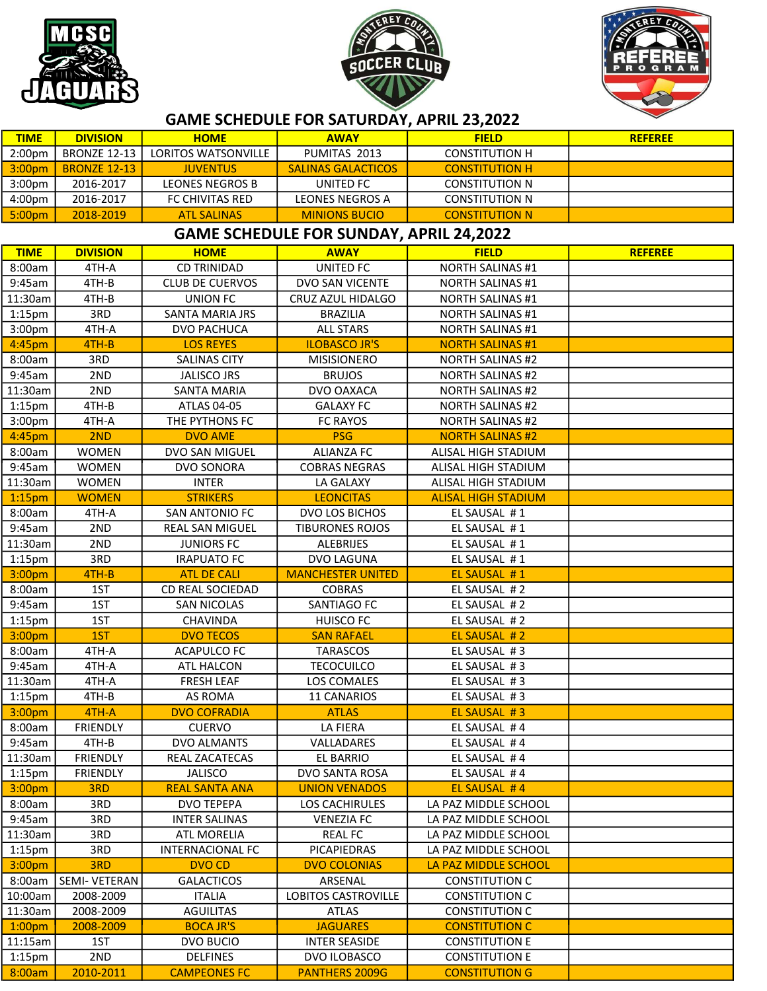





| <b>TIME</b>                                    | <b>DIVISION</b>          | <b>HOME</b>                   | <b>AWAY</b>               | <b>FIELD</b>                 | <b>REFEREE</b> |  |  |  |  |
|------------------------------------------------|--------------------------|-------------------------------|---------------------------|------------------------------|----------------|--|--|--|--|
| 2:00pm                                         | <b>BRONZE 12-13</b>      | LORITOS WATSONVILLE           | PUMITAS 2013              | <b>CONSTITUTION H</b>        |                |  |  |  |  |
| 3:00pm                                         | <b>BRONZE 12-13</b>      | <b>JUVENTUS</b>               | <b>SALINAS GALACTICOS</b> | <b>CONSTITUTION H</b>        |                |  |  |  |  |
| 3:00pm                                         | 2016-2017                | <b>LEONES NEGROS B</b>        | UNITED FC                 | <b>CONSTITUTION N</b>        |                |  |  |  |  |
| 4:00pm                                         | 2016-2017                | FC CHIVITAS RED               | <b>LEONES NEGROS A</b>    | <b>CONSTITUTION N</b>        |                |  |  |  |  |
| 5:00pm                                         | 2018-2019                | <b>ATL SALINAS</b>            | <b>MINIONS BUCIO</b>      | <b>CONSTITUTION N</b>        |                |  |  |  |  |
| <b>GAME SCHEDULE FOR SUNDAY, APRIL 24,2022</b> |                          |                               |                           |                              |                |  |  |  |  |
| <b>TIME</b>                                    | <b>DIVISION</b>          | <b>HOME</b>                   | <b>AWAY</b>               | <b>FIELD</b>                 | <b>REFEREE</b> |  |  |  |  |
| 8:00am                                         | 4TH-A                    | <b>CD TRINIDAD</b>            | UNITED FC                 | <b>NORTH SALINAS #1</b>      |                |  |  |  |  |
| 9:45am                                         | 4TH-B                    | <b>CLUB DE CUERVOS</b>        | DVO SAN VICENTE           | <b>NORTH SALINAS #1</b>      |                |  |  |  |  |
| 11:30am                                        | 4TH-B                    | <b>UNION FC</b>               | CRUZ AZUL HIDALGO         | <b>NORTH SALINAS #1</b>      |                |  |  |  |  |
| $1:15$ pm                                      | 3RD                      | SANTA MARIA JRS               | <b>BRAZILIA</b>           | <b>NORTH SALINAS #1</b>      |                |  |  |  |  |
| 3:00pm                                         | 4TH-A                    | DVO PACHUCA                   | <b>ALL STARS</b>          | <b>NORTH SALINAS #1</b>      |                |  |  |  |  |
| 4:45pm                                         | 4TH-B                    | <b>LOS REYES</b>              | <b>ILOBASCO JR'S</b>      | <b>NORTH SALINAS #1</b>      |                |  |  |  |  |
| 8:00am                                         | 3RD                      | <b>SALINAS CITY</b>           | <b>MISISIONERO</b>        | <b>NORTH SALINAS #2</b>      |                |  |  |  |  |
| 9:45am                                         | 2ND                      | <b>JALISCO JRS</b>            | <b>BRUJOS</b>             | <b>NORTH SALINAS #2</b>      |                |  |  |  |  |
| 11:30am                                        | 2ND                      | <b>SANTA MARIA</b>            | DVO OAXACA                | <b>NORTH SALINAS #2</b>      |                |  |  |  |  |
| $1:15$ pm                                      | 4TH-B                    | ATLAS 04-05                   | <b>GALAXY FC</b>          | <b>NORTH SALINAS #2</b>      |                |  |  |  |  |
| 3:00pm                                         | 4TH-A                    | THE PYTHONS FC                | FC RAYOS                  | <b>NORTH SALINAS #2</b>      |                |  |  |  |  |
| 4:45pm                                         | 2ND                      | <b>DVO AME</b>                | <b>PSG</b>                | <b>NORTH SALINAS #2</b>      |                |  |  |  |  |
| 8:00am                                         | <b>WOMEN</b>             | DVO SAN MIGUEL                | <b>ALIANZA FC</b>         | ALISAL HIGH STADIUM          |                |  |  |  |  |
| 9:45am                                         | <b>WOMEN</b>             | DVO SONORA                    | <b>COBRAS NEGRAS</b>      | ALISAL HIGH STADIUM          |                |  |  |  |  |
| 11:30am                                        | <b>WOMEN</b>             | <b>INTER</b>                  | LA GALAXY                 | ALISAL HIGH STADIUM          |                |  |  |  |  |
| 1:15 <sub>pm</sub>                             | <b>WOMEN</b>             | <b>STRIKERS</b>               | <b>LEONCITAS</b>          | <b>ALISAL HIGH STADIUM</b>   |                |  |  |  |  |
| 8:00am                                         | 4TH-A                    | SAN ANTONIO FC                | DVO LOS BICHOS            | EL SAUSAL #1                 |                |  |  |  |  |
| 9:45am                                         | 2ND                      | <b>REAL SAN MIGUEL</b>        | <b>TIBURONES ROJOS</b>    | EL SAUSAL #1                 |                |  |  |  |  |
| 11:30am                                        | 2ND                      | <b>JUNIORS FC</b>             | ALEBRIJES                 | EL SAUSAL #1                 |                |  |  |  |  |
| $1:15$ pm                                      | 3RD                      | <b>IRAPUATO FC</b>            | DVO LAGUNA                | EL SAUSAL #1                 |                |  |  |  |  |
| 3:00pm                                         | 4TH-B                    | <b>ATL DE CALI</b>            | <b>MANCHESTER UNITED</b>  | EL SAUSAL #1                 |                |  |  |  |  |
| 8:00am                                         | 1ST                      | CD REAL SOCIEDAD              | <b>COBRAS</b>             | EL SAUSAL #2                 |                |  |  |  |  |
| 9:45am                                         | 1ST                      | <b>SAN NICOLAS</b>            | SANTIAGO FC               | EL SAUSAL #2                 |                |  |  |  |  |
| $1:15$ pm                                      | 1ST                      | CHAVINDA                      | <b>HUISCO FC</b>          | EL SAUSAL #2                 |                |  |  |  |  |
| 3:00pm                                         | 1ST                      | <b>DVO TECOS</b>              | <b>SAN RAFAEL</b>         | EL SAUSAL #2                 |                |  |  |  |  |
| 8:00am                                         | 4TH-A                    | <b>ACAPULCO FC</b>            | <b>TARASCOS</b>           | EL SAUSAL #3                 |                |  |  |  |  |
| 9:45am                                         | 4TH-A                    | ATL HALCON                    | <b>TECOCUILCO</b>         | EL SAUSAL #3                 |                |  |  |  |  |
| 11:30am                                        | 4TH-A                    | <b>FRESH LEAF</b>             | LOS COMALES               | EL SAUSAL #3                 |                |  |  |  |  |
| $1:15$ pm                                      | 4TH-B                    | AS ROMA                       | <b>11 CANARIOS</b>        | EL SAUSAL #3                 |                |  |  |  |  |
| 3:00pm                                         | 4TH-A                    | <b>DVO COFRADIA</b>           | <b>ATLAS</b>              | EL SAUSAL #3                 |                |  |  |  |  |
| 8:00am                                         | FRIENDLY                 | <b>CUERVO</b>                 | LA FIERA                  | EL SAUSAL #4                 |                |  |  |  |  |
| 9:45am<br>11:30am                              | 4TH-B<br><b>FRIENDLY</b> | DVO ALMANTS<br>REAL ZACATECAS | VALLADARES<br>EL BARRIO   | EL SAUSAL #4<br>EL SAUSAL #4 |                |  |  |  |  |
| $1:15$ pm                                      | <b>FRIENDLY</b>          | <b>JALISCO</b>                | DVO SANTA ROSA            | EL SAUSAL #4                 |                |  |  |  |  |
| 3:00pm                                         | 3RD                      | <b>REAL SANTA ANA</b>         | <b>UNION VENADOS</b>      | EL SAUSAL #4                 |                |  |  |  |  |
| 8:00am                                         | 3RD                      | <b>DVO TEPEPA</b>             | LOS CACHIRULES            | LA PAZ MIDDLE SCHOOL         |                |  |  |  |  |
| 9:45am                                         | 3RD                      | <b>INTER SALINAS</b>          | <b>VENEZIA FC</b>         | LA PAZ MIDDLE SCHOOL         |                |  |  |  |  |
| 11:30am                                        | 3RD                      | <b>ATL MORELIA</b>            | <b>REAL FC</b>            | LA PAZ MIDDLE SCHOOL         |                |  |  |  |  |
| $1:15$ pm                                      | 3RD                      | <b>INTERNACIONAL FC</b>       | PICAPIEDRAS               | LA PAZ MIDDLE SCHOOL         |                |  |  |  |  |
| 3:00pm                                         | 3RD                      | <b>DVO CD</b>                 | <b>DVO COLONIAS</b>       | LA PAZ MIDDLE SCHOOL         |                |  |  |  |  |
| 8:00am                                         | <b>SEMI- VETERAN</b>     | <b>GALACTICOS</b>             | ARSENAL                   | <b>CONSTITUTION C</b>        |                |  |  |  |  |
| 10:00am                                        | 2008-2009                | <b>ITALIA</b>                 | LOBITOS CASTROVILLE       | <b>CONSTITUTION C</b>        |                |  |  |  |  |
| 11:30am                                        | 2008-2009                | <b>AGUILITAS</b>              | <b>ATLAS</b>              | <b>CONSTITUTION C</b>        |                |  |  |  |  |
| 1:00 <sub>pm</sub>                             | 2008-2009                | <b>BOCA JR'S</b>              | <b>JAGUARES</b>           | <b>CONSTITUTION C</b>        |                |  |  |  |  |
| 11:15am                                        | 1ST                      | DVO BUCIO                     | <b>INTER SEASIDE</b>      | <b>CONSTITUTION E</b>        |                |  |  |  |  |
| $1:15$ pm                                      | 2ND                      | <b>DELFINES</b>               | DVO ILOBASCO              | <b>CONSTITUTION E</b>        |                |  |  |  |  |
| 8:00am                                         | 2010-2011                | <b>CAMPEONES FC</b>           | <b>PANTHERS 2009G</b>     | <b>CONSTITUTION G</b>        |                |  |  |  |  |

## GAME SCHEDULE FOR SATURDAY, APRIL 23,2022